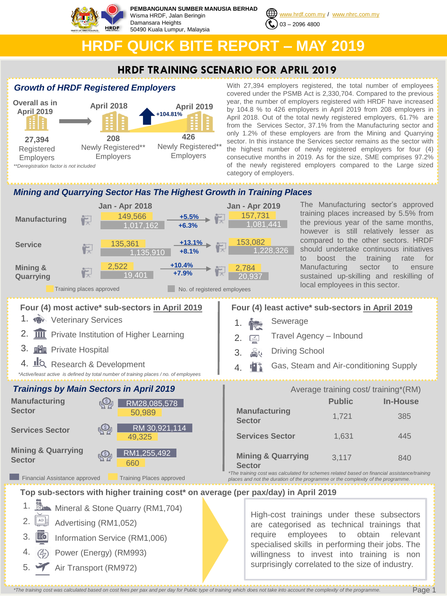

**PEMBANGUNAN SUMBER MANUSIA BERHAD** Wisma HRDF, Jalan Beringin Damansara Heights 50490 Kuala Lumpur, Malaysia



# **HRDF QUICK BITE REPORT – MAY 2019**

# **HRDF TRAINING SCENARIO FOR APRIL 2019**

## *Growth of HRDF Registered Employers*



With 27,394 employers registered, the total number of employees covered under the PSMB Act is 2,330,704. Compared to the previous year, the number of employers registered with HRDF have increased by 104.8 % to 426 employers in April 2019 from 208 employers in April 2018. Out of the total newly registered employers, 61.7% are from the Services Sector, 37.1% from the Manufacturing sector and only 1.2% of these employers are from the Mining and Quarrying sector. In this instance the Services sector remains as the sector with the highest number of newly registered employers for four (4) consecutive months in 2019. As for the size, SME comprises 97.2% of the newly registered employers compared to the Large sized category of employers.

## *Mining and Quarrying Sector Has The Highest Growth in Training Places*



The Manufacturing sector's approved training places increased by 5.5% from the previous year of the same months, however is still relatively lesser as compared to the other sectors. HRDF should undertake continuous initiatives to boost the training rate for Manufacturing sector to ensure sustained up-skilling and reskilling of local employees in this sector.

- Travel Agency Inbound
- Gas, Steam and Air-conditioning Supply

|                                                | Average training cost/training*(RM) |                 |
|------------------------------------------------|-------------------------------------|-----------------|
|                                                | <b>Public</b>                       | <b>In-House</b> |
| <b>Manufacturing</b><br><b>Sector</b>          | 1,721                               | 385             |
| <b>Services Sector</b>                         | 1,631                               | 445             |
| <b>Mining &amp; Quarrying</b><br><b>Sector</b> | 3,117                               | 840             |
|                                                |                                     |                 |

*\*The training cost was calculated for schemes related based on financial assistance/training places and not the duration of the programme or the complexity of the programme.* 

> High-cost trainings under these subsectors are categorised as technical trainings that require employees to obtain relevant specialised skills in performing their jobs. The willingness to invest into training is non

**Top sub-sectors with higher training cost\* on average (per pax/day) in April 2019**

- 1. **But** Mineral & Stone Quarry (RM1,704)
- 2. Advertising (RM1,052)
- 3. **Ec** Information Service (RM1,006)
- 4. Power (Energy) (RM993)
- $5. \blacktriangleright$ Air Transport (RM972)